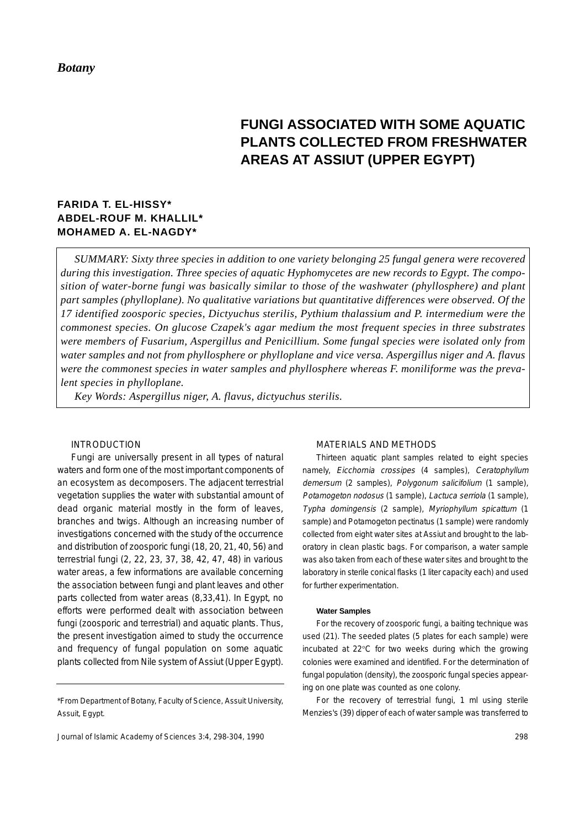# **FUNGI ASSOCIATED WITH SOME AQUATIC PLANTS COLLECTED FROM FRESHWATER AREAS AT ASSIUT (UPPER EGYPT)**

# **FARIDA T. EL-HISSY\* ABDEL-ROUF M. KHALLIL\* MOHAMED A. EL-NAGDY\***

*SUMMARY: Sixty three species in addition to one variety belonging 25 fungal genera were recovered during this investigation. Three species of aquatic Hyphomycetes are new records to Egypt. The composition of water-borne fungi was basically similar to those of the washwater (phyllosphere) and plant part samples (phylloplane). No qualitative variations but quantitative differences were observed. Of the 17 identified zoosporic species, Dictyuchus sterilis, Pythium thalassium and P. intermedium were the commonest species. On glucose Czapek's agar medium the most frequent species in three substrates were members of Fusarium, Aspergillus and Penicillium. Some fungal species were isolated only from water samples and not from phyllosphere or phylloplane and vice versa. Aspergillus niger and A. flavus were the commonest species in water samples and phyllosphere whereas F. moniliforme was the prevalent species in phylloplane.*

*Key Words: Aspergillus niger, A. flavus, dictyuchus sterilis.*

# INTRODUCTION

Fungi are universally present in all types of natural waters and form one of the most important components of an ecosystem as decomposers. The adjacent terrestrial vegetation supplies the water with substantial amount of dead organic material mostly in the form of leaves, branches and twigs. Although an increasing number of investigations concerned with the study of the occurrence and distribution of zoosporic fungi (18, 20, 21, 40, 56) and terrestrial fungi (2, 22, 23, 37, 38, 42, 47, 48) in various water areas, a few informations are available concerning the association between fungi and plant leaves and other parts collected from water areas (8,33,41). In Egypt, no efforts were performed dealt with association between fungi (zoosporic and terrestrial) and aquatic plants. Thus, the present investigation aimed to study the occurrence and frequency of fungal population on some aquatic plants collected from Nile system of Assiut (Upper Egypt).

# MATERIALS AND METHODS

Thirteen aquatic plant samples related to eight species namely, Eicchornia crossipes (4 samples), Ceratophyllum demersum (2 samples), Polygonum salicifolium (1 sample), Potamogeton nodosus (1 sample), Lactuca serriola (1 sample), Typha domingensis (2 sample), Myriophyllum spicattum (1 sample) and Potamogeton pectinatus (1 sample) were randomly collected from eight water sites at Assiut and brought to the laboratory in clean plastic bags. For comparison, a water sample was also taken from each of these water sites and brought to the laboratory in sterile conical flasks (1 liter capacity each) and used for further experimentation.

#### **Water Samples**

For the recovery of zoosporic fungi, a baiting technique was used (21). The seeded plates (5 plates for each sample) were incubated at 22°C for two weeks during which the growing colonies were examined and identified. For the determination of fungal population (density), the zoosporic fungal species appearing on one plate was counted as one colony.

For the recovery of terrestrial fungi, 1 ml using sterile Menzies's (39) dipper of each of water sample was transferred to

<sup>\*</sup>From Department of Botany, Faculty of Science, Assuit University, Assuit, Egypt.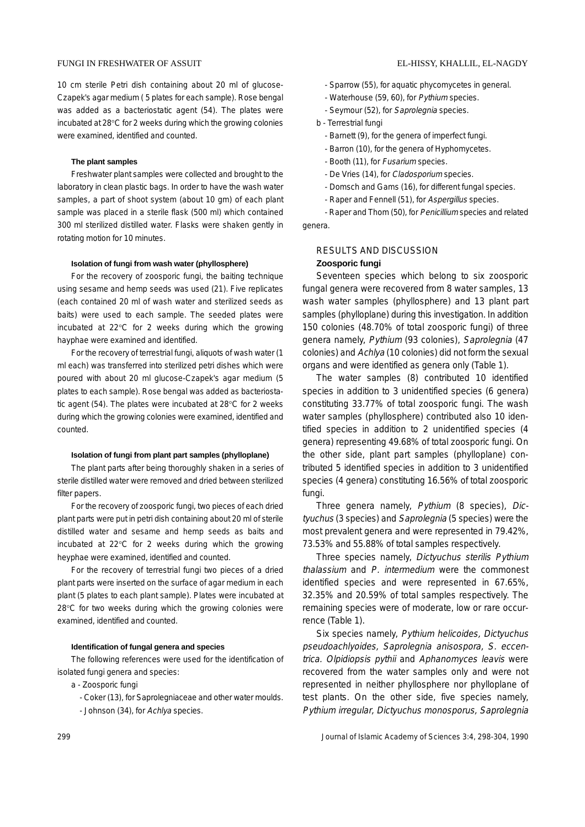## FUNGI IN FRESHWATER OF ASSUIT EL-HISSY, KHALLIL, EL-NAGDY

10 cm sterile Petri dish containing about 20 ml of glucose-Czapek's agar medium ( 5 plates for each sample). Rose bengal was added as a bacteriostatic agent (54). The plates were incubated at 28°C for 2 weeks during which the growing colonies were examined, identified and counted.

#### **The plant samples**

Freshwater plant samples were collected and brought to the laboratory in clean plastic bags. In order to have the wash water samples, a part of shoot system (about 10 gm) of each plant sample was placed in a sterile flask (500 ml) which contained 300 ml sterilized distilled water. Flasks were shaken gently in rotating motion for 10 minutes.

#### **Isolation of fungi from wash water (phyllosphere)**

For the recovery of zoosporic fungi, the baiting technique using sesame and hemp seeds was used (21). Five replicates (each contained 20 ml of wash water and sterilized seeds as baits) were used to each sample. The seeded plates were incubated at 22°C for 2 weeks during which the growing hayphae were examined and identified.

For the recovery of terrestrial fungi, aliquots of wash water (1 ml each) was transferred into sterilized petri dishes which were poured with about 20 ml glucose-Czapek's agar medium (5 plates to each sample). Rose bengal was added as bacteriostatic agent (54). The plates were incubated at 28°C for 2 weeks during which the growing colonies were examined, identified and counted.

#### **Isolation of fungi from plant part samples (phylloplane)**

The plant parts after being thoroughly shaken in a series of sterile distilled water were removed and dried between sterilized filter papers.

For the recovery of zoosporic fungi, two pieces of each dried plant parts were put in petri dish containing about 20 ml of sterile distilled water and sesame and hemp seeds as baits and incubated at 22°C for 2 weeks during which the growing heyphae were examined, identified and counted.

For the recovery of terrestrial fungi two pieces of a dried plant parts were inserted on the surface of agar medium in each plant (5 plates to each plant sample). Plates were incubated at 28°C for two weeks during which the growing colonies were examined, identified and counted.

#### **Identification of fungal genera and species**

The following references were used for the identification of isolated fungi genera and species:

a - Zoosporic fungi

- Coker (13), for Saprolegniaceae and other water moulds. - Johnson (34), for Achlya species.

- Sparrow (55), for aquatic phycomycetes in general.
- Waterhouse (59, 60), for Pythium species.
- Seymour (52), for Saprolegnia species.
- b Terrestrial fungi
	- Barnett (9), for the genera of imperfect fungi.
	- Barron (10), for the genera of Hyphomycetes.
	- Booth (11), for Fusarium species.
	- De Vries (14), for Cladosporium species.
	- Domsch and Gams (16), for different fungal species.
	- Raper and Fennell (51), for Aspergillus species.

- Raper and Thom (50), for Penicillium species and related genera.

# RESULTS AND DISCUSSION **Zoosporic fungi**

Seventeen species which belong to six zoosporic fungal genera were recovered from 8 water samples, 13 wash water samples (phyllosphere) and 13 plant part samples (phylloplane) during this investigation. In addition 150 colonies (48.70% of total zoosporic fungi) of three genera namely, Pythium (93 colonies), Saprolegnia (47 colonies) and Achlya (10 colonies) did not form the sexual organs and were identified as genera only (Table 1).

The water samples (8) contributed 10 identified species in addition to 3 unidentified species (6 genera) constituting 33.77% of total zoosporic fungi. The wash water samples (phyllosphere) contributed also 10 identified species in addition to 2 unidentified species (4 genera) representing 49.68% of total zoosporic fungi. On the other side, plant part samples (phylloplane) contributed 5 identified species in addition to 3 unidentified species (4 genera) constituting 16.56% of total zoosporic fungi.

Three genera namely, Pythium (8 species), Dictyuchus (3 species) and Saprolegnia (5 species) were the most prevalent genera and were represented in 79.42%, 73.53% and 55.88% of total samples respectively.

Three species namely, Dictyuchus sterilis Pythium thalassium and P. intermedium were the commonest identified species and were represented in 67.65%, 32.35% and 20.59% of total samples respectively. The remaining species were of moderate, low or rare occurrence (Table 1).

Six species namely, Pythium helicoides, Dictyuchus pseudoachlyoides, Saprolegnia anisospora, S. eccentrica. Olpidiopsis pythii and Aphanomyces leavis were recovered from the water samples only and were not represented in neither phyllosphere nor phylloplane of test plants. On the other side, five species namely, Pythium irregular, Dictyuchus monosporus, Saprolegnia

299 Journal of Islamic Academy of Sciences 3:4, 298-304, 1990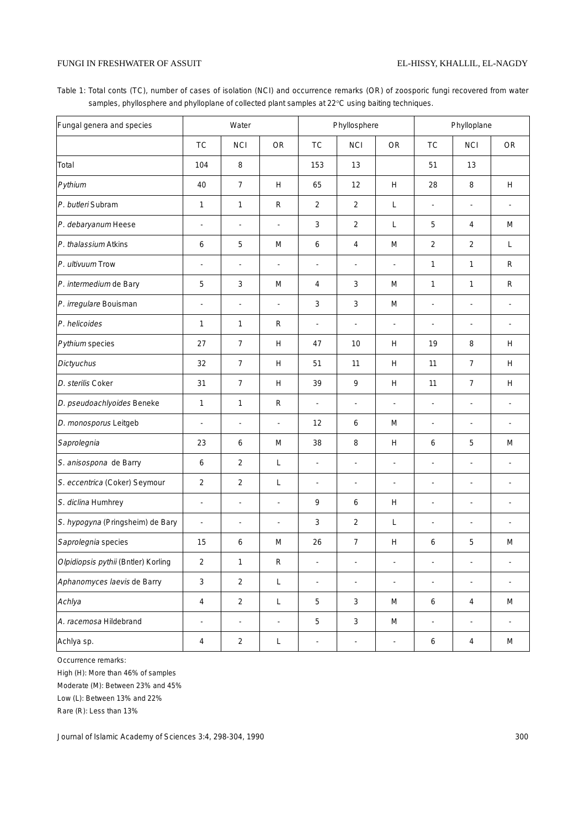# FUNGI IN FRESHWATER OF ASSUIT

Table 1: Total conts (TC), number of cases of isolation (NCI) and occurrence remarks (OR) of zoosporic fungi recovered from water samples, phyllosphere and phylloplane of collected plant samples at 22°C using baiting techniques.

| Fungal genera and species           | Water                    |                          |                          |                          | Phyllosphere             |                          | Phylloplane              |                |                          |  |
|-------------------------------------|--------------------------|--------------------------|--------------------------|--------------------------|--------------------------|--------------------------|--------------------------|----------------|--------------------------|--|
|                                     | <b>TC</b>                | <b>NCI</b>               | <b>OR</b>                | <b>TC</b>                | <b>NCI</b>               | OR                       | <b>TC</b>                | <b>NCI</b>     | <b>OR</b>                |  |
| Total                               | 104                      | 8                        |                          | 153                      | 13                       |                          | 51                       | 13             |                          |  |
| Pythium                             | 40                       | $\overline{7}$           | H                        | 65                       | 12                       | H                        | 28                       | 8              | Н                        |  |
| P. butleri Subram                   | 1                        | $\mathbf{1}$             | $\mathsf R$              | $\overline{2}$           | $\overline{2}$           | L                        | $\overline{\phantom{a}}$ | $\blacksquare$ | ٠                        |  |
| P. debaryanum Heese                 | ÷,                       | $\overline{\phantom{a}}$ | $\sim$                   | 3                        | 2                        | L                        | 5                        | 4              | M                        |  |
| P. thalassium Atkins                | 6                        | 5                        | M                        | 6                        | $\overline{4}$           | M                        | $\overline{2}$           | $\overline{2}$ | L                        |  |
| P. ultivuum Trow                    | L,                       | $\overline{a}$           | ÷,                       | ä,                       | $\overline{a}$           | ÷,                       | 1                        | $\mathbf{1}$   | $\mathsf R$              |  |
| P. intermedium de Bary              | 5                        | $\mathbf{3}$             | M                        | 4                        | 3                        | M                        | 1                        | $\mathbf{1}$   | R                        |  |
| P. irregulare Bouisman              | ÷,                       | ä,                       | $\blacksquare$           | 3                        | 3                        | M                        | $\overline{\phantom{a}}$ |                |                          |  |
| P. helicoides                       | 1                        | $\mathbf{1}$             | R                        | $\blacksquare$           | $\blacksquare$           | $\blacksquare$           | $\overline{\phantom{a}}$ | $\blacksquare$ | $\overline{\phantom{a}}$ |  |
| Pythium species                     | 27                       | $\boldsymbol{7}$         | H                        | 47                       | 10                       | H                        | 19                       | 8              | Н                        |  |
| <b>Dictyuchus</b>                   | 32                       | $\overline{7}$           | H                        | 51                       | 11                       | H                        | 11                       | 7              | H                        |  |
| D. sterilis Coker                   | 31                       | $\overline{7}$           | Н                        | 39                       | 9                        | Н                        | 11                       | $\overline{7}$ | H                        |  |
| D. pseudoachlyoides Beneke          | 1                        | $\mathbf{1}$             | $\mathsf{R}$             | L.                       | ÷,                       | ÷,                       | $\blacksquare$           | $\blacksquare$ |                          |  |
| D. monosporus Leitgeb               | $\blacksquare$           | $\overline{a}$           | $\overline{\phantom{a}}$ | 12                       | 6                        | M                        | ÷,                       | $\overline{a}$ | ÷,                       |  |
| Saprolegnia                         | 23                       | 6                        | M                        | 38                       | 8                        | H                        | 6                        | 5              | M                        |  |
| S. anisospona de Barry              | 6                        | $\overline{2}$           | L                        | $\overline{\phantom{a}}$ | ÷,                       | $\overline{\phantom{a}}$ | ÷,                       | ÷,             | ÷,                       |  |
| S. eccentrica (Coker) Seymour       | $\overline{2}$           | $\sqrt{2}$               | L                        | ÷,                       | Ĭ.                       | ÷,                       | ÷,                       | ÷,             | $\overline{\phantom{a}}$ |  |
| S. diclina Humhrey                  | $\blacksquare$           | $\overline{a}$           | ÷,                       | 9                        | 6                        | H                        | ÷,                       | $\overline{a}$ | $\overline{a}$           |  |
| S. hypogyna (Pringsheim) de Bary    | $\overline{\phantom{a}}$ | ÷,                       | ÷,                       | 3                        | $\overline{2}$           | L                        | ÷,                       | ÷,             | $\overline{\phantom{a}}$ |  |
| Saprolegnia species                 | 15                       | 6                        | M                        | 26                       | $\overline{7}$           | Н                        | 6                        | 5              | M                        |  |
| Olpidiopsis pythii (Bntler) Korling | $\overline{2}$           | $\mathbf{1}$             | ${\sf R}$                | $\overline{\phantom{a}}$ | $\overline{\phantom{a}}$ | $\overline{\phantom{a}}$ | $\overline{\phantom{a}}$ | $\blacksquare$ | $\blacksquare$           |  |
| Aphanomyces laevis de Barry         | $\mathfrak{Z}$           | $\overline{2}$           | L                        | $\overline{\phantom{a}}$ | $\blacksquare$           | $\overline{\phantom{a}}$ | $\blacksquare$           | $\blacksquare$ | $\overline{\phantom{a}}$ |  |
| Achlya                              | 4                        | $\overline{2}$           | L                        | 5                        | 3                        | ${\sf M}$                | 6                        | $\sqrt{4}$     | ${\sf M}$                |  |
| A. racemosa Hildebrand              | $\overline{\phantom{a}}$ | $\blacksquare$           | $\overline{\phantom{a}}$ | 5                        | $\mathbf{3}$             | ${\sf M}$                | $\overline{\phantom{a}}$ | $\blacksquare$ | $\overline{\phantom{a}}$ |  |
| Achlya sp.                          | 4                        | $\sqrt{2}$               | $\mathsf L$              | $\overline{\phantom{a}}$ | $\overline{\phantom{a}}$ | $\overline{\phantom{a}}$ | 6                        | $\overline{4}$ | M                        |  |

Occurrence remarks:

High (H): More than 46% of samples

Moderate (M): Between 23% and 45%

Low (L): Between 13% and 22%

Rare (R): Less than 13%

Journal of Islamic Academy of Sciences 3:4, 298-304, 1990 300 300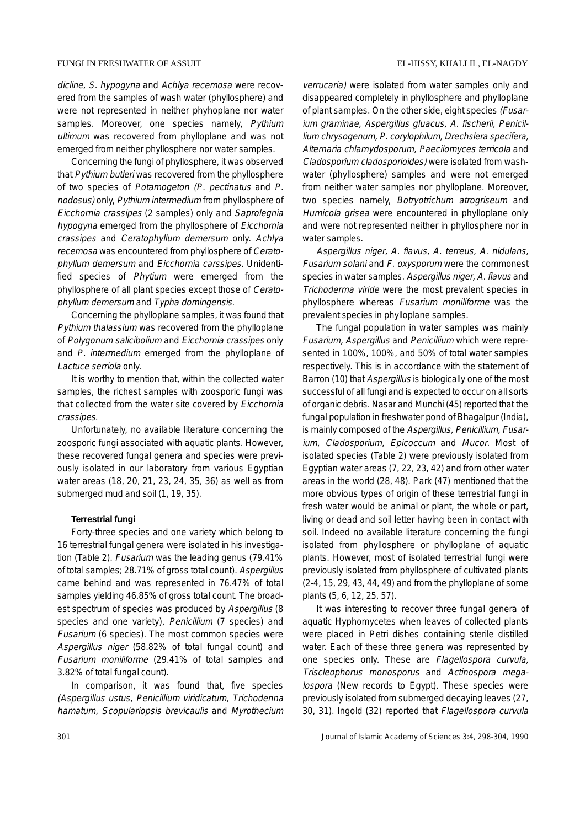# FUNGI IN FRESHWATER OF ASSUIT EL-HISSY, KHALLIL, EL-NAGDY

dicline, S. hypogyna and Achlya recemosa were recovered from the samples of wash water (phyllosphere) and were not represented in neither phyhoplane nor water samples. Moreover, one species namely, Pythium ultimum was recovered from phylloplane and was not emerged from neither phyllosphere nor water samples.

Concerning the fungi of phyllosphere, it was observed that Pythium butleri was recovered from the phyllosphere of two species of Potamogeton (P. pectinatus and P. nodosus) only, Pythium intermedium from phyllosphere of Eicchornia crassipes (2 samples) only and Saprolegnia hypogyna emerged from the phyllosphere of Eicchornia crassipes and Ceratophyllum demersum only. Achlya recemosa was encountered from phyllosphere of Ceratophyllum demersum and Eicchornia carssipes. Unidentified species of Phytium were emerged from the phyllosphere of all plant species except those of Ceratophyllum demersum and Typha domingensis.

Concerning the phylloplane samples, it was found that Pythium thalassium was recovered from the phylloplane of Polygonum salicibolium and Eicchornia crassipes only and P. intermedium emerged from the phylloplane of Lactuce serriola only.

It is worthy to mention that, within the collected water samples, the richest samples with zoosporic fungi was that collected from the water site covered by Eicchornia crassipes.

Unfortunately, no available literature concerning the zoosporic fungi associated with aquatic plants. However, these recovered fungal genera and species were previously isolated in our laboratory from various Egyptian water areas (18, 20, 21, 23, 24, 35, 36) as well as from submerged mud and soil (1, 19, 35).

#### **Terrestrial fungi**

Forty-three species and one variety which belong to 16 terrestrial fungal genera were isolated in his investigation (Table 2). Fusarium was the leading genus (79.41% of total samples; 28.71% of gross total count). Aspergillus came behind and was represented in 76.47% of total samples yielding 46.85% of gross total count. The broadest spectrum of species was produced by Aspergillus (8 species and one variety), Penicillium (7 species) and Fusarium (6 species). The most common species were Aspergillus niger (58.82% of total fungal count) and Fusarium moniliforme (29.41% of total samples and 3.82% of total fungal count).

In comparison, it was found that, five species (Aspergillus ustus, Penicillium viridicatum, Trichodenna hamatum, Scopulariopsis brevicaulis and Myrothecium

verrucaria) were isolated from water samples only and disappeared completely in phyllosphere and phylloplane of plant samples. On the other side, eight species (Fusarium graminae, Aspergillus gluacus, A. fischerii, Penicillium chrysogenum, P. corylophilum, Drechslera specifera, Alternaria chlamydosporum, Paecilomyces terricola and Cladosporium cladosporioides) were isolated from washwater (phyllosphere) samples and were not emerged from neither water samples nor phylloplane. Moreover, two species namely, Botryotrichum atrogriseum and Humicola grisea were encountered in phylloplane only and were not represented neither in phyllosphere nor in water samples.

Aspergillus niger, A. flavus, A. terreus, A. nidulans, Fusarium solani and F. oxysporum were the commonest species in water samples. Aspergillus niger, A. flavus and Trichoderma viride were the most prevalent species in phyllosphere whereas Fusarium moniliforme was the prevalent species in phylloplane samples.

The fungal population in water samples was mainly Fusarium, Aspergillus and Penicillium which were represented in 100%, 100%, and 50% of total water samples respectively. This is in accordance with the statement of Barron (10) that Aspergillus is biologically one of the most successful of all fungi and is expected to occur on all sorts of organic debris. Nasar and Munchi (45) reported that the fungal population in freshwater pond of Bhagalpur (India), is mainly composed of the Aspergillus, Penicillium, Fusarium, Cladosporium, Epicoccum and Mucor. Most of isolated species (Table 2) were previously isolated from Egyptian water areas (7, 22, 23, 42) and from other water areas in the world (28, 48). Park (47) mentioned that the more obvious types of origin of these terrestrial fungi in fresh water would be animal or plant, the whole or part, living or dead and soil letter having been in contact with soil. Indeed no available literature concerning the fungi isolated from phyllosphere or phylloplane of aquatic plants. However, most of isolated terrestrial fungi were previously isolated from phyllosphere of cultivated plants (2-4, 15, 29, 43, 44, 49) and from the phylloplane of some plants (5, 6, 12, 25, 57).

It was interesting to recover three fungal genera of aquatic Hyphomycetes when leaves of collected plants were placed in Petri dishes containing sterile distilled water. Each of these three genera was represented by one species only. These are Flagellospora curvula, Triscleophorus monosporus and Actinospora megalospora (New records to Egypt). These species were previously isolated from submerged decaying leaves (27, 30, 31). Ingold (32) reported that Flagellospora curvula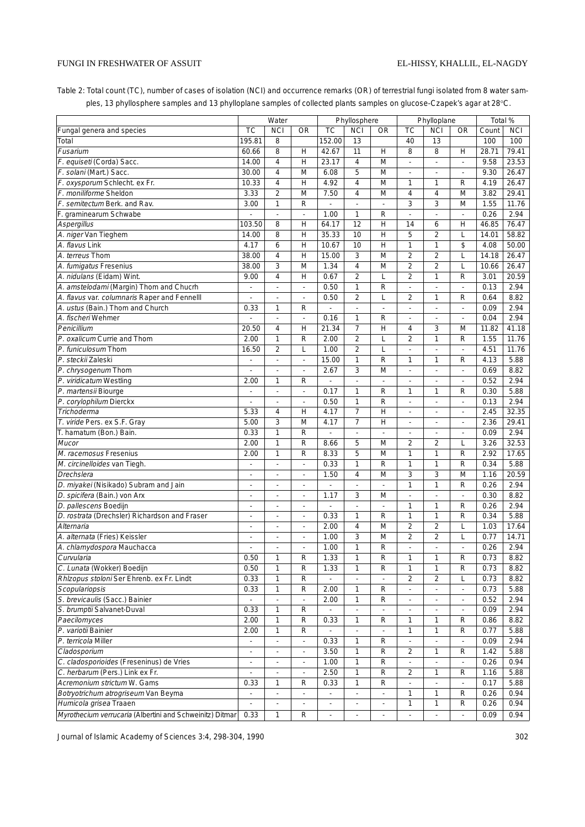# FUNGI IN FRESHWATER OF ASSUIT

Table 2: Total count (TC), number of cases of isolation (NCI) and occurrence remarks (OR) of terrestrial fungi isolated from 8 water samples, 13 phyllosphere samples and 13 phylloplane samples of collected plants samples on glucose-Czapek's agar at 28°C.

|                                                          |                             |                          |                          | Phyllosphere |                          |              |                          |                          |                | Total %      |              |
|----------------------------------------------------------|-----------------------------|--------------------------|--------------------------|--------------|--------------------------|--------------|--------------------------|--------------------------|----------------|--------------|--------------|
|                                                          |                             | Water                    |                          |              |                          |              |                          | Phylloplane              |                |              |              |
| Fungal genera and species                                | TC                          | <b>NCI</b>               | <b>OR</b>                | TC           | <b>NCI</b>               | <b>OR</b>    | ТC                       | <b>NCI</b>               | <b>OR</b>      | Count        | <b>NCI</b>   |
| Total                                                    | 195.81                      | 8                        |                          | 152.00       | 13                       |              | 40                       | 13                       |                | 100          | 100          |
| Fusarium                                                 | 60.66                       | 8                        | Η                        | 42.67        | 11                       | Η            | 8                        | 8                        | H              | 28.71        | 79.41        |
| F. equiseti (Corda) Sacc.                                | 14.00                       | $\overline{4}$           | Η                        | 23.17        | $\overline{4}$           | M            | L.                       | L,                       | L,             | 9.58         | 23.53        |
| F. solani (Mart.) Sacc.                                  | 30.00                       | $\overline{4}$           | M                        | 6.08         | 5                        | M            | ÷,                       | ÷,                       | ÷,             | 9.30         | 26.47        |
| F. oxysporum Schlecht. ex Fr.                            | 10.33                       | $\overline{4}$           | Η                        | 4.92         | 4                        | M            | 1                        | 1                        | $\mathsf{R}$   | 4.19         | 26.47        |
| F. moniliforme Sheldon                                   | 3.33                        | $\overline{2}$           | M                        | 7.50         | 4                        | M            | $\overline{4}$           | 4                        | M              | 3.82         | 29.41        |
| F. semitectum Berk. and Rav.                             | 3.00                        | $\mathbf{1}$             | R                        |              |                          |              | 3                        | 3                        | M              | 1.55         | 11.76        |
| F. graminearum Schwabe                                   |                             | ÷,                       | $\blacksquare$           | 1.00         | $\mathbf{1}$             | R            | ä,                       | $\overline{\phantom{a}}$ | ä,             | 0.26         | 2.94         |
| Aspergillus                                              | 103.50                      | 8                        | н                        | 64.17        | 12                       | H            | 14                       | 6                        | Н              | 46.85        | 76.47        |
| A. niger Van Tieghem                                     | 14.00                       | 8                        | Η                        | 35.33        | 10                       | H            | 5                        | $\overline{2}$           | L              | 14.01        | 58.82        |
| A. flavus Link                                           | 4.17                        | 6                        | Η                        | 10.67        | 10                       | Η            | 1                        | 1                        | \$             | 4.08         | 50.00        |
| A. terreus Thom                                          | 38.00                       | $\overline{4}$           | Η                        | 15.00        | 3                        | M            | $\overline{2}$           | $\overline{2}$           | L              | 14.18        | 26.47        |
| A. fumigatus Fresenius                                   | 38.00                       | 3                        | M                        | 1.34         | 4                        | M            | $\overline{2}$           | $\overline{2}$           | L              | 10.66        | 26.47        |
| A. nidulans (Eidam) Wint.                                | 9.00                        | $\overline{4}$           | н                        | 0.67         | $\overline{2}$           | L            | $\overline{2}$           | 1                        | $\mathsf{R}$   | 3.01         | 20.59        |
| A. amstelodami (Margin) Thom and Chucrh                  |                             |                          | ÷,                       | 0.50         | $\mathbf{1}$             | ${\sf R}$    | ä,                       | l,                       | ÷,             | 0.13         | 2.94         |
| A. flavus var. columnaris Raper and Fennelll             | $\mathcal{L}_{\mathcal{A}}$ | ä,                       | $\mathbf{r}$             | 0.50         | $\overline{2}$           | Г            | $\overline{2}$           | 1                        | $\mathsf{R}$   | 0.64         | 8.82         |
| A. ustus (Bain.) Thom and Church                         | 0.33                        | 1                        | R                        |              |                          | ä,           | ÷                        | $\blacksquare$           | $\blacksquare$ | 0.09         | 2.94         |
| A. fischeri Wehmer                                       |                             |                          | $\overline{\phantom{a}}$ | 0.16         | 1                        | R            |                          | ä,                       | ÷,             | 0.04         | 2.94         |
| Penicillium                                              | 20.50                       | $\overline{4}$           | Η                        | 21.34        | $\overline{7}$           | H            | 4                        | 3                        | M              | 11.82        | 41.18        |
| P. oxalicum Currie and Thom                              | 2.00                        | $\mathbf{1}$             | R                        | 2.00         | $\overline{2}$           | L            | $\overline{2}$           | 1                        | $\mathsf{R}$   | 1.55         | 11.76        |
| P. funiculosum Thom                                      | 16.50                       | $\overline{2}$           | Г                        | 1.00         | $\overline{2}$           | L            | ÷.                       | ÷,                       | ÷,             | 4.51         | 11.76        |
| P. steckii Zaleski                                       |                             | $\sim$                   | $\overline{\phantom{a}}$ | 15.00        | 1                        | R            | 1                        | 1                        | $\mathsf{R}$   | 4.13         | 5.88         |
| P. chrysogenum Thom                                      | ÷.                          | ä,                       | $\mathbf{r}$             | 2.67         | 3                        | M            | L,                       | $\overline{\phantom{a}}$ | L,             | 0.69         | 8.82         |
| P. viridicatum Westling                                  | 2.00                        | $\mathbf{1}$             | R                        |              |                          |              |                          | ÷,                       | ÷,             | 0.52         | 2.94         |
| P. martensii Biourge                                     | ä,                          | ä,                       | ä,                       | 0.17         | $\mathbf{1}$             | ${\sf R}$    | 1                        | 1                        | $\mathsf{R}$   | 0.30         | 5.88         |
| P. corylophilum Dierckx                                  | $\overline{\phantom{a}}$    | $\overline{\phantom{a}}$ | $\overline{\phantom{a}}$ | 0.50         | 1                        | ${\sf R}$    | ÷,                       | $\overline{\phantom{a}}$ | ÷,             | 0.13         | 2.94         |
| Trichoderma                                              | 5.33                        | $\overline{4}$           | н                        | 4.17         | $\overline{7}$           | Η            | $\blacksquare$           | ÷,                       | $\blacksquare$ | 2.45         | 32.35        |
| T. viride Pers. ex S.F. Gray                             | 5.00                        | 3                        | M                        | 4.17         | $\overline{7}$           | H            | ÷,                       | ÷,                       | ÷,             | 2.36         | 29.41        |
| T. hamatum (Bon.) Bain.                                  | 0.33                        | $\mathbf{1}$             | R                        | L.           | L.                       | L.           | ä,                       | $\mathcal{L}$            | ä,             | 0.09         | 2.94         |
| Mucor                                                    | 2.00                        | $\mathbf{1}$             | R                        | 8.66         | 5                        | M            | $\overline{2}$           | $\overline{2}$           | L              | 3.26         | 32.53        |
| M. racemosus Fresenius                                   | 2.00                        | $\mathbf{1}$             | R                        | 8.33         | 5                        | M            | 1                        | 1                        | $\mathsf{R}$   | 2.92         | 17.65        |
| M. circinelloides van Tiegh.                             | ä,                          | ä,                       | L.                       | 0.33         | $\mathbf{1}$             | $\mathsf{R}$ | 1                        | 1                        | $\mathsf{R}$   | 0.34         | 5.88         |
| Drechslera                                               | ÷.                          |                          | ä,                       | 1.50         | 4                        | M            | 3                        | 3                        | M              | 1.16         | 20.59        |
| D. miyakei (Nisikado) Subram and Jain                    | $\overline{\phantom{a}}$    | $\overline{\phantom{a}}$ | $\overline{\phantom{a}}$ |              | $\blacksquare$           | ÷,           | 1                        | 1                        | $\mathsf{R}$   | 0.26         | 2.94         |
| D. spicifera (Bain.) von Arx                             | $\overline{\phantom{a}}$    | $\overline{\phantom{a}}$ | ٠                        | 1.17         | 3                        | M            | ÷,                       | ÷,                       | ÷,             | 0.30         | 8.82         |
| D. pallescens Boedijn                                    | $\sim$                      | $\sim$                   | $\overline{\phantom{a}}$ |              | ÷,                       | ä,           | 1                        | 1                        | R              | 0.26         | 2.94         |
| D. rostrata (Drechsler) Richardson and Fraser            | $\overline{\phantom{a}}$    |                          | $\overline{\phantom{a}}$ | 0.33         | 1                        | ${\sf R}$    | 1                        | 1                        | $\mathsf{R}$   | 0.34         | 5.88         |
| Alternaria                                               | $\overline{\phantom{a}}$    | $\overline{\phantom{a}}$ | $\overline{\phantom{a}}$ | 2.00         | 4                        | M            | $\overline{2}$           | 2                        | L              | 1.03         | 17.64        |
| A. alternata (Fries) Keissler                            | $\overline{\phantom{a}}$    | $\overline{\phantom{a}}$ | ۰                        | 1.00         | 3                        | M            | $\overline{2}$           | $\overline{\mathbf{2}}$  | L              | 0.77         | 14.71        |
| A. chlamydospora Mauchacca                               |                             | ÷,                       | $\overline{\phantom{a}}$ | 1.00         | $\mathbf{1}$             | $\mathsf{R}$ | $\overline{\phantom{a}}$ | ÷,                       | ä,             | 0.26         | 2.94         |
| Curvularia                                               | 0.50                        | 1                        | R                        | 1.33         | $\mathbf{1}$             | $\mathsf R$  | 1                        | 1                        | R              | 0.73         | 8.82         |
| C. Lunata (Wokker) Boedijn                               | 0.50                        | $\mathbf{1}$             | R                        | 1.33         | 1                        | $\mathsf R$  | 1                        | 1                        | $\mathsf{R}$   | 0.73         | 8.82         |
| Rhlzopus stoloni Ser Ehrenb. ex Fr. Lindt                | 0.33                        | 1                        | R                        |              | ÷,                       |              | $\overline{c}$           | $\overline{\mathbf{2}}$  | L              | 0.73         | 8.82         |
| Scopulariopsis                                           | 0.33                        | 1                        | R                        | 2.00         | 1                        | R            | ÷.                       | $\overline{\phantom{a}}$ | $\blacksquare$ | 0.73         | 5.88         |
| S. brevicaulis (Sacc.) Bainier                           |                             |                          |                          | 2.00         | 1                        | R            |                          |                          | ÷              | 0.52         | 2.94         |
| S. brumptii Salvanet-Duval                               | 0.33                        | 1                        | R                        |              | L.                       |              | L.                       | L.                       | ä,             | 0.09         | 2.94         |
|                                                          | 2.00                        | 1                        | R                        | 0.33         | 1                        | R            | 1                        | 1                        |                |              | 8.82         |
| Paecilomyces<br>P. variotii Bainier                      |                             | 1                        | R                        |              |                          |              | 1                        | 1                        | R              | 0.86         |              |
| P. terricola Miller                                      | 2.00                        | ä,                       | $\mathbb{Z}^2$           | 0.33         | 1                        | R            | ä,                       | ä,                       | R<br>ä,        | 0.77<br>0.09 | 5.88<br>2.94 |
| Cladosporium                                             |                             |                          |                          |              |                          |              |                          |                          |                |              |              |
|                                                          |                             |                          | ÷.                       | 3.50         | $\mathbf{1}$             | ${\sf R}$    | 2                        | 1                        | R              | 1.42         | 5.88         |
| C. cladosporioides (Freseninus) de Vries                 | ×.                          | $\overline{\phantom{a}}$ | $\overline{\phantom{a}}$ | 1.00         | $\mathbf{1}$             | ${\sf R}$    | ä,                       | ä,                       | ä,             | 0.26         | 0.94         |
| C. herbarum (Pers.) Link ex Fr.                          |                             |                          | $\frac{1}{2}$            | 2.50         | 1                        | $\mathsf R$  | 2                        | 1                        | R              | 1.16         | 5.88         |
| Acremonium strictum W. Gams                              | 0.33                        | $\mathbf{1}$             | R                        | 0.33         | 1                        | ${\sf R}$    | ÷,                       | ÷,                       | $\blacksquare$ | 0.17         | 5.88         |
| Botryotrichum atrogriseum Van Beyma                      |                             |                          |                          |              |                          |              | 1                        | 1                        | R              | 0.26         | 0.94         |
| Humicola grisea Traaen                                   | ÷.                          | ÷.                       | ÷.                       | J.           | $\overline{\phantom{a}}$ | ä,           | 1                        | 1                        | R              | 0.26         | 0.94         |
| Myrothecium verrucaria (Albertini and Schweinitz) Ditmar | 0.33                        | $\mathbf{1}$             | R                        | ä,           | $\overline{\phantom{a}}$ | ä,           | $\overline{\phantom{a}}$ | ä,                       | L,             | 0.09         | 0.94         |

Journal of Islamic Academy of Sciences 3:4, 298-304, 1990 302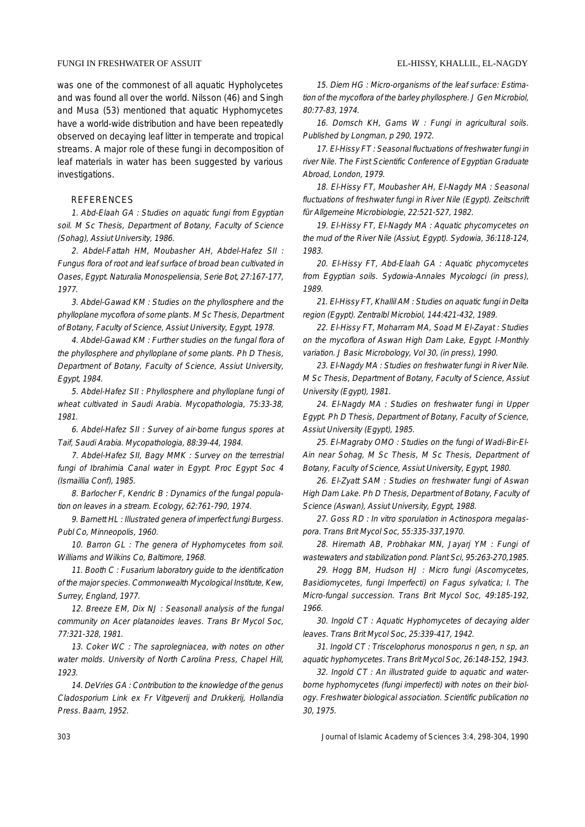was one of the commonest of all aquatic Hypholycetes and was found all over the world. Nilsson (46) and Singh and Musa (53) mentioned that aquatic Hyphomycetes have a world-wide distribution and have been repeatedly observed on decaying leaf litter in temperate and tropical streams. A major role of these fungi in decomposition of leaf materials in water has been suggested by various investigations.

# REFERENCES

1. Abd-Elaah GA : Studies on aquatic fungi from Egyptian soil. M Sc Thesis, Department of Botany, Faculty of Science (Sohag), Assiut University, 1986.

2. Abdel-Fattah HM, Moubasher AH, Abdel-Hafez SII : Fungus flora of root and leaf surface of broad bean cultivated in Oases, Egypt. Naturalia Monospeliensia, Serie Bot, 27:167-177, 1977.

3. Abdel-Gawad KM : Studies on the phyllosphere and the phylloplane mycoflora of some plants. M Sc Thesis, Department of Botany, Faculty of Science, Assiut University, Egypt, 1978.

4. Abdel-Gawad KM : Further studies on the fungal flora of the phyllosphere and phylloplane of some plants. Ph D Thesis, Department of Botany, Faculty of Science, Assiut University, Egypt, 1984.

5. Abdel-Hafez SII : Phyllosphere and phylloplane fungi of wheat cultivated in Saudi Arabia. Mycopathologia, 75:33-38, 1981.

6. Abdel-Hafez SII : Survey of air-borne fungus spores at Taif, Saudi Arabia. Mycopathologia, 88:39-44, 1984.

7. Abdel-Hafez SII, Bagy MMK : Survey on the terrestrial fungi of Ibrahimia Canal water in Egypt. Proc Egypt Soc 4 (Ismaillia Conf), 1985.

8. Barlocher F, Kendric B : Dynamics of the fungal population on leaves in a stream. Ecology, 62:761-790, 1974.

9. Barnett HL : Illustrated genera of imperfect fungi Burgess. Publ Co, Minneopolis, 1960.

10. Barron GL : The genera of Hyphomycetes from soil. Williams and Wilkins Co, Baltimore, 1968.

11. Booth C : Fusarium laboratory guide to the identification of the major species. Commonwealth Mycological Institute, Kew, Surrey, England, 1977.

12. Breeze EM, Dix NJ : Seasonall analysis of the fungal community on Acer platanoides leaves. Trans Br Mycol Soc, 77:321-328, 1981.

13. Coker WC : The saprolegniacea, with notes on other water molds. University of North Carolina Press, Chapel Hill, 1923.

14. DeVries GA : Contribution to the knowledge of the genus Cladosporium Link ex Fr Vitgeverij and Drukkerij, Hollandia Press. Baarn, 1952.

15. Diem HG : Micro-organisms of the leaf surface: Estimation of the mycoflora of the barley phyllosphere. J Gen Microbiol, 80:77-83, 1974.

16. Domsch KH, Gams W : Fungi in agricultural soils. Published by Longman, p 290, 1972.

17. El-Hissy FT : Seasonal fluctuations of freshwater fungi in river Nile. The First Scientific Conference of Egyptian Graduate Abroad, London, 1979.

18. El-Hissy FT, Moubasher AH, El-Nagdy MA : Seasonal fluctuations of freshwater fungi in River Nile (Egypt). Zeitschrift für Allgemeine Microbiologie, 22:521-527, 1982.

19. El-Hissy FT, El-Nagdy MA : Aquatic phycomycetes on the mud of the River Nile (Assiut, Egypt). Sydowia, 36:118-124, 1983.

20. El-Hissy FT, Abd-Elaah GA : Aquatic phycomycetes from Egyptian soils. Sydowia-Annales Mycologci (in press), 1989.

21. El-Hissy FT, Khallil AM : Studies on aquatic fungi in Delta region (Egypt). Zentralbl Microbiol, 144:421-432, 1989.

22. El-Hissy FT, Moharram MA, Soad M El-Zayat : Studies on the mycoflora of Aswan High Dam Lake, Egypt. I-Monthly variation. J Basic Microbology, Vol 30, (in press), 1990.

23. El-Nagdy MA : Studies on freshwater fungi in River Nile. M Sc Thesis, Department of Botany, Faculty of Science, Assiut University (Egypt), 1981.

24. El-Nagdy MA : Studies on freshwater fungi in Upper Egypt. Ph D Thesis, Department of Botany, Faculty of Science, Assiut University (Egypt), 1985.

25. El-Magraby OMO : Studies on the fungi of Wadi-Bir-El-Ain near Sohag, M Sc Thesis, M Sc Thesis, Department of Botany, Faculty of Science, Assiut University, Egypt, 1980.

26. El-Zyatt SAM : Studies on freshwater fungi of Aswan High Dam Lake. Ph D Thesis, Department of Botany, Faculty of Science (Aswan), Assiut University, Egypt, 1988.

27. Goss RD : In vitro sporulation in Actinospora megalaspora. Trans Brit Mycol Soc, 55:335-337,1970.

28. Hiremath AB, Probhakar MN, Jayarj YM : Fungi of wastewaters and stabilization pond. Plant Sci, 95:263-270,1985.

29. Hogg BM, Hudson HJ : Micro fungi (Ascomycetes, Basidiomycetes, fungi Imperfecti) on Fagus sylvatica; I. The Micro-fungal succession. Trans Brit Mycol Soc, 49:185-192, 1966.

30. Ingold CT : Aquatic Hyphomycetes of decaying alder leaves. Trans Brit Mycol Soc, 25:339-417, 1942.

31. Ingold CT : Triscelophorus monosporus n gen, n sp, an aquatic hyphomycetes. Trans Brit Mycol Soc, 26:148-152, 1943.

32. Ingold CT : An illustrated guide to aquatic and waterborne hyphomycetes (fungi imperfecti) with notes on their biology. Freshwater biological association. Scientific publication no 30, 1975.

303 Journal of Islamic Academy of Sciences 3:4, 298-304, 1990